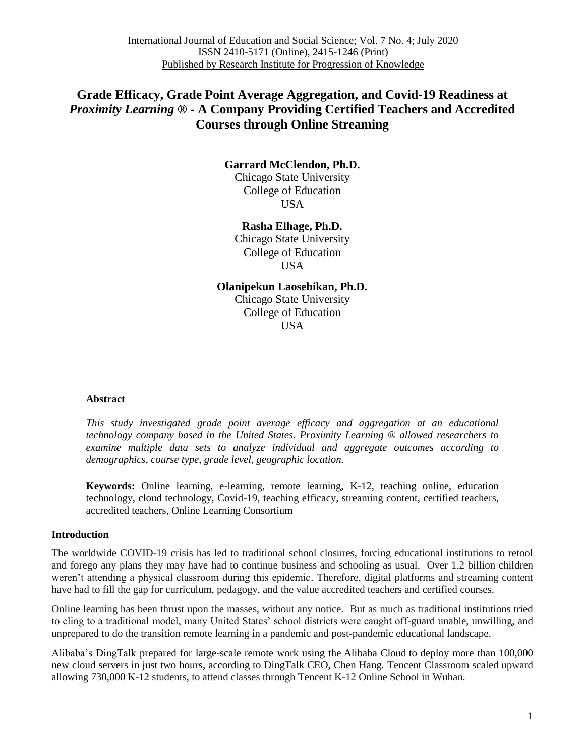# **Grade Efficacy, Grade Point Average Aggregation, and Covid-19 Readiness at** *Proximity Learning* **® - A Company Providing Certified Teachers and Accredited Courses through Online Streaming**

# **Garrard McClendon, Ph.D.**

Chicago State University College of Education USA

# **Rasha Elhage, Ph.D.**

Chicago State University College of Education USA

# **Olanipekun Laosebikan, Ph.D.**

Chicago State University College of Education **USA** 

### **Abstract**

*This study investigated grade point average efficacy and aggregation at an educational technology company based in the United States. Proximity Learning ® allowed researchers to examine multiple data sets to analyze individual and aggregate outcomes according to demographics, course type, grade level, geographic location.*

**Keywords:** Online learning, e-learning, remote learning, K-12, teaching online, education technology, cloud technology, Covid-19, teaching efficacy, streaming content, certified teachers, accredited teachers, Online Learning Consortium

### **Introduction**

The worldwide COVID-19 crisis has led to traditional school closures, forcing educational institutions to retool and forego any plans they may have had to continue business and schooling as usual. Over 1.2 billion children weren't attending a physical classroom during this epidemic. Therefore, digital platforms and streaming content have had to fill the gap for curriculum, pedagogy, and the value accredited teachers and certified courses.

Online learning has been thrust upon the masses, without any notice. But as much as traditional institutions tried to cling to a traditional model, many United States' school districts were caught off-guard unable, unwilling, and unprepared to do the transition remote learning in a pandemic and post-pandemic educational landscape.

Alibaba's DingTalk prepared for large-scale remote work using the Alibaba Cloud to deploy more than 100,000 new cloud servers in just two hours, according to DingTalk CEO, Chen Hang. Tencent Classroom scaled upward allowing [730,000](https://cloud.tencent.com/developer/article/1589218) K-12 students, to attend classes through Tencent K-12 Online School in Wuhan.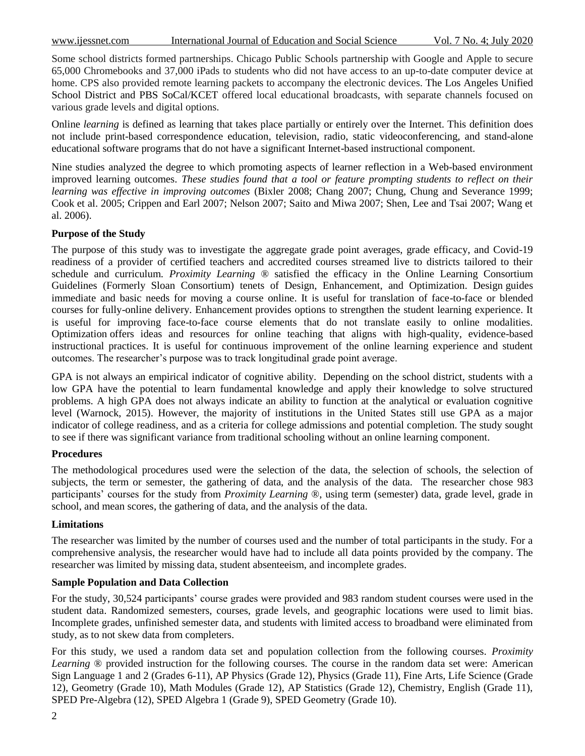Some school districts formed partnerships. Chicago Public Schools partnership with Google and Apple to secure 65,000 Chromebooks and 37,000 iPads to students who did not have access to an up-to-date computer device at home. CPS also provided remote learning packets to accompany the electronic devices. The Los Angeles Unified School District and PBS SoCal/KCET offered local educational broadcasts, with separate channels focused on various grade levels and digital options.

Online *learning* is defined as learning that takes place partially or entirely over the Internet. This definition does not include print-based correspondence education, television, radio, static videoconferencing, and stand-alone educational software programs that do not have a significant Internet-based instructional component.

Nine studies analyzed the degree to which promoting aspects of learner reflection in a Web-based environment improved learning outcomes. *These studies found that a tool or feature prompting students to reflect on their learning was effective in improving outcomes* (Bixler 2008; Chang 2007; Chung, Chung and Severance 1999; Cook et al. 2005; Crippen and Earl 2007; Nelson 2007; Saito and Miwa 2007; Shen, Lee and Tsai 2007; Wang et al. 2006).

# **Purpose of the Study**

The purpose of this study was to investigate the aggregate grade point averages, grade efficacy, and Covid-19 readiness of a provider of certified teachers and accredited courses streamed live to districts tailored to their schedule and curriculum. *Proximity Learning ®* satisfied the efficacy in the Online Learning Consortium Guidelines (Formerly Sloan Consortium) tenets of Design, Enhancement, and Optimization. Design guides immediate and basic needs for moving a course online. It is useful for translation of face-to-face or blended courses for fully-online delivery. Enhancement provides options to strengthen the student learning experience. It is useful for improving face-to-face course elements that do not translate easily to online modalities. Optimization offers ideas and resources for online teaching that aligns with high-quality, evidence-based instructional practices. It is useful for continuous improvement of the online learning experience and student outcomes. The researcher's purpose was to track longitudinal grade point average.

GPA is not always an empirical indicator of cognitive ability. Depending on the school district, students with a low GPA have the potential to learn fundamental knowledge and apply their knowledge to solve structured problems. A high GPA does not always indicate an ability to function at the analytical or evaluation cognitive level (Warnock, 2015). However, the majority of institutions in the United States still use GPA as a major indicator of college readiness, and as a criteria for college admissions and potential completion. The study sought to see if there was significant variance from traditional schooling without an online learning component.

### **Procedures**

The methodological procedures used were the selection of the data, the selection of schools, the selection of subjects, the term or semester, the gathering of data, and the analysis of the data. The researcher chose 983 participants' courses for the study from *Proximity Learning* ®, using term (semester) data, grade level, grade in school, and mean scores, the gathering of data, and the analysis of the data.

### **Limitations**

The researcher was limited by the number of courses used and the number of total participants in the study. For a comprehensive analysis, the researcher would have had to include all data points provided by the company. The researcher was limited by missing data, student absenteeism, and incomplete grades.

# **Sample Population and Data Collection**

For the study, 30,524 participants' course grades were provided and 983 random student courses were used in the student data. Randomized semesters, courses, grade levels, and geographic locations were used to limit bias. Incomplete grades, unfinished semester data, and students with limited access to broadband were eliminated from study, as to not skew data from completers.

For this study, we used a random data set and population collection from the following courses. *Proximity Learning* ® provided instruction for the following courses. The course in the random data set were: American Sign Language 1 and 2 (Grades 6-11), AP Physics (Grade 12), Physics (Grade 11), Fine Arts, Life Science (Grade 12), Geometry (Grade 10), Math Modules (Grade 12), AP Statistics (Grade 12), Chemistry, English (Grade 11), SPED Pre-Algebra (12), SPED Algebra 1 (Grade 9), SPED Geometry (Grade 10).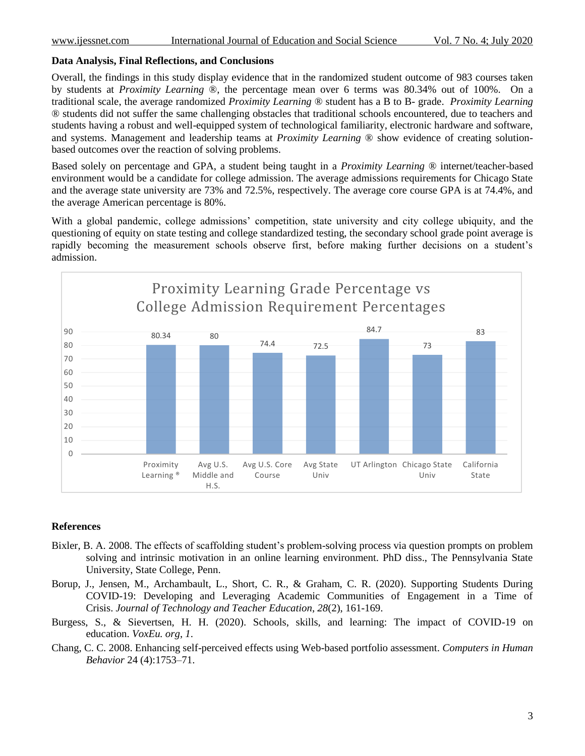# **Data Analysis, Final Reflections, and Conclusions**

Overall, the findings in this study display evidence that in the randomized student outcome of 983 courses taken by students at *Proximity Learning* ®, the percentage mean over 6 terms was 80.34% out of 100%. On a traditional scale, the average randomized *Proximity Learning* ® student has a B to B- grade. *Proximity Learning* ® students did not suffer the same challenging obstacles that traditional schools encountered, due to teachers and students having a robust and well-equipped system of technological familiarity, electronic hardware and software, and systems. Management and leadership teams at *Proximity Learning* ® show evidence of creating solutionbased outcomes over the reaction of solving problems.

Based solely on percentage and GPA, a student being taught in a *Proximity Learning* ® internet/teacher-based environment would be a candidate for college admission. The average admissions requirements for Chicago State and the average state university are 73% and 72.5%, respectively. The average core course GPA is at 74.4%, and the average American percentage is 80%.

With a global pandemic, college admissions' competition, state university and city college ubiquity, and the questioning of equity on state testing and college standardized testing, the secondary school grade point average is rapidly becoming the measurement schools observe first, before making further decisions on a student's admission.



### **References**

- Bixler, B. A. 2008. The effects of scaffolding student's problem-solving process via question prompts on problem solving and intrinsic motivation in an online learning environment. PhD diss., The Pennsylvania State University, State College, Penn.
- Borup, J., Jensen, M., Archambault, L., Short, C. R., & Graham, C. R. (2020). Supporting Students During COVID-19: Developing and Leveraging Academic Communities of Engagement in a Time of Crisis. *Journal of Technology and Teacher Education*, *28*(2), 161-169.
- Burgess, S., & Sievertsen, H. H. (2020). Schools, skills, and learning: The impact of COVID-19 on education. *VoxEu. org*, *1*.
- Chang, C. C. 2008. Enhancing self-perceived effects using Web-based portfolio assessment. *Computers in Human Behavior* 24 (4):1753–71.